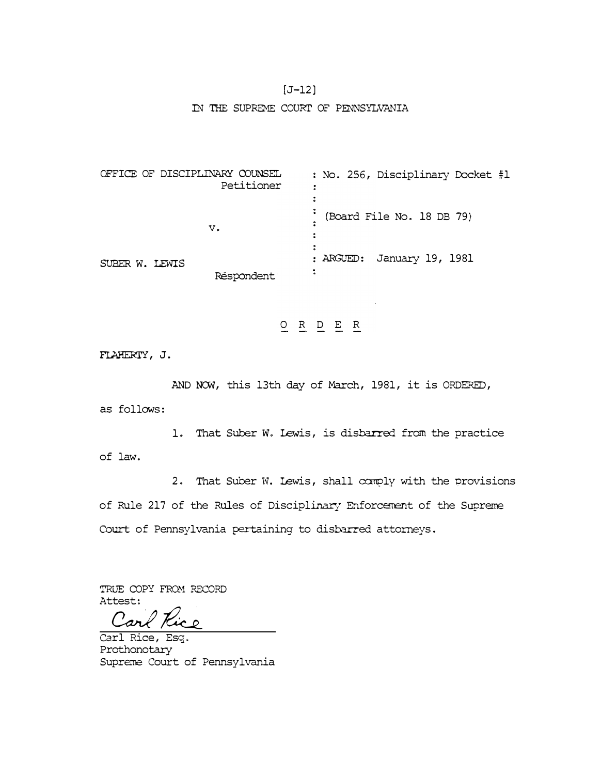## $[J-12]$

#### IN THE SUPREME COURI' OF PENNSYLVANIA

OFFICE OF DISCIPLINARY COUNSEL No. 256, Disciplinary Docket #1 Petitioner  $\ddot{\bullet}$  $\ddot{z}$ (Board File No. 18 DB 79) **v.**   $\mathbf{r}$  $\ddot{ }$ ARGUED: January 19, 1981 SUBER W. LEWIS  $\ddot{\cdot}$ Respondent

O R D E R

FLAHERIY, J.

AND NOW, this 13th day of March, 1981, it is ORDERED,

as follows:

of law. 1. That Suber W. Lewis, is disbarred from the practice

2. That Suber W. Lewis, shall canply with the provisions of Rule 217 of the Rules of Disciplinary Enforcement of the Supreme Court of Pennsylvania pertaining to disbarred attorneys.

TRUE COPY FROM RECORD Attest:

Carl / Cac

Carl Rice, Esq. Prothonotary Supreme Court of Pennsylvania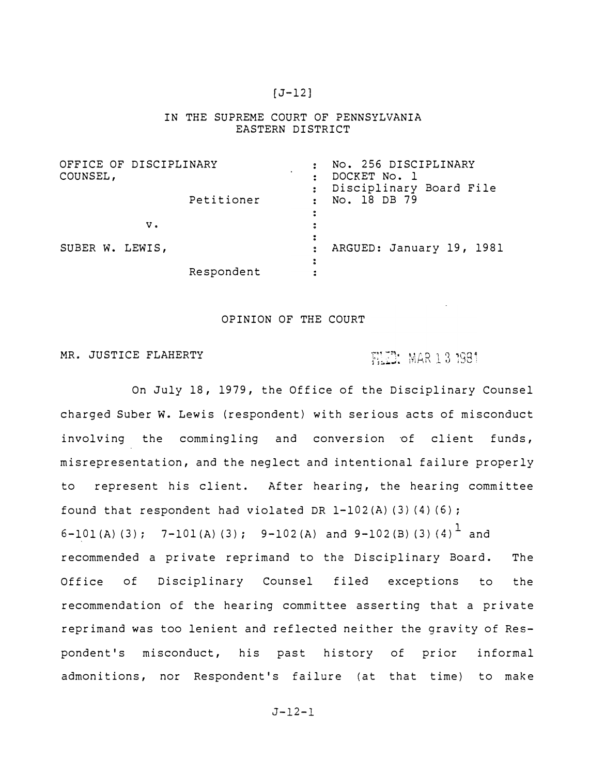# $[J-12]$

## IN THE SUPREME COURT OF PENNSYLVANIA EASTERN DISTRICT

| OFFICE OF DISCIPLINARY<br>COUNSEL, |    |            |   | No. 256 DISCIPLINARY<br>DOCKET No. 1<br>Disciplinary Board File |
|------------------------------------|----|------------|---|-----------------------------------------------------------------|
|                                    |    | Petitioner |   | No. 18 DB 79                                                    |
|                                    | v. |            |   |                                                                 |
| SUBER W. LEWIS,                    |    |            | 2 | ARGUED: January 19, 1981                                        |
|                                    |    | Respondent |   |                                                                 |

#### OPINION OF THE COURT

# MR. JUSTICE FLAHERTY

# FLUE MAR 13 1981

On July 18, 1979, the Office of the Disciplinary Counsel charged Suber w. Lewis (respondent) with serious acts of misconduct involving the commingling and conversion of client funds, misrepresentation, and the neglect and intentional failure properly to represent his client. After hearing, the hearing committee found that respondent had violated DR 1-102 (A) (3} (4) (6); 6-101(A)(3); 7-101(A)(3); 9-102(A) and 9-102(B)(3)(4)<sup>1</sup> and recommended a private reprimand to the Disciplinary Board. The Office of Disciplinary Counsel filed exceptions to the recommendation of the hearing committee asserting that a private reprimand was too lenient and reflected neither the gravity of Respondent's misconduct, his past history of prior informal admonitions, nor Respondent's failure (at that time) to make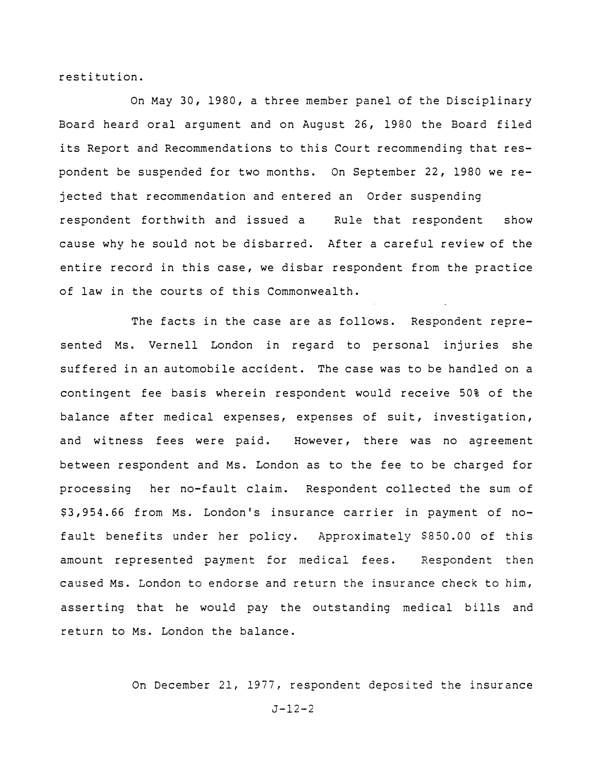restitution.

On May 30, 1980, a three member panel of the Disciplinary Board heard oral argument and on August 26, 1980 the Board filed its Report and Recommendations to this Court recommending that respondent be suspended for two months. On September 22, 1980 we rejected that recommendation and entered an Order suspending respondent forthwith and issued a Rule that respondent show cause why he sould not be disbarred. After a careful review of the entire record in this case, we disbar respondent from the practice of law in the courts of this Commonwealth.

The facts in the case are as follows. Respondent represented Ms. Vernell London in regard to personal injuries she suffered in an automobile accident. The case was to be handled on a contingent fee basis wherein respondent would receive 50% of the balance after medical expenses, expenses of suit, investigation, and witness fees were paid. However, there was no agreement between respondent and Ms. London as to the fee to be charged for processing her no-fault claim. Respondent collected the sum of \$3,954.66 from Ms. London's insurance carrier in payment of nofault benefits under her policy. Approximately \$850.00 of this amount represented payment for medical fees. Respondent then caused Ms. London to endorse and return the insurance check to him, asserting that he would pay the outstanding medical bills and return to Ms. London the balance.

On December 21, 1977, respondent deposited the insurance

 $J-12-2$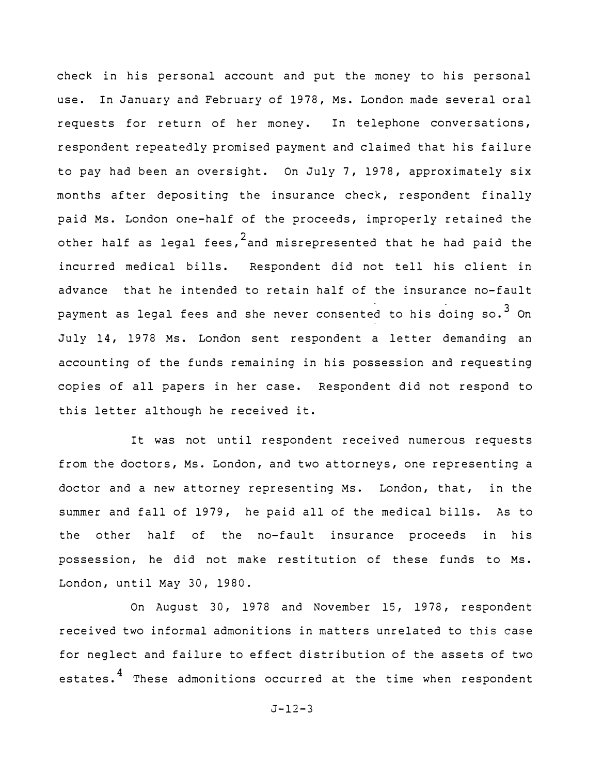check in his personal account and put the money to his personal use. In January and February of 1978, Ms. London made several oral requests for return of her money. In telephone conversations, respondent repeatedly promised payment and claimed that his failure to pay had been an oversight. On July 7, 1978, approximately six months after depositing the insurance check, respondent finally paid Ms. London one-half of the proceeds, improperly retained the other half as legal fees, $^2$ and misrepresented that he had paid the incurred medical bills. Respondent did not tell his client in advance that he intended to retain half of the insurance no-fault payment as legal fees and she never consented to his doing  $so.^3$  On July 14, 1978 Ms. London sent respondent a letter demanding an accounting of the funds remaining in his possession and requesting copies of all papers in her case. Respondent did not respond to this letter although he received it.

It was not until respondent received numerous requests from the doctors, Ms. London, and two attorneys, one representing a doctor and a new attorney representing Ms. London, that, in the summer and fall of 1979, he paid all of the medical bills. As to the other half of the no-fault insurance proceeds in his possession, he did not make restitution of these funds to Ms. London, until May 30, 1980.

On August 30, 1978 and November 15, 1978, respondent received two informal admonitions in matters unrelated to this case for neglect and failure to effect distribution of the assets of two estates.<sup>4</sup> These admonitions occurred at the time when respondent

$$
J-12-3
$$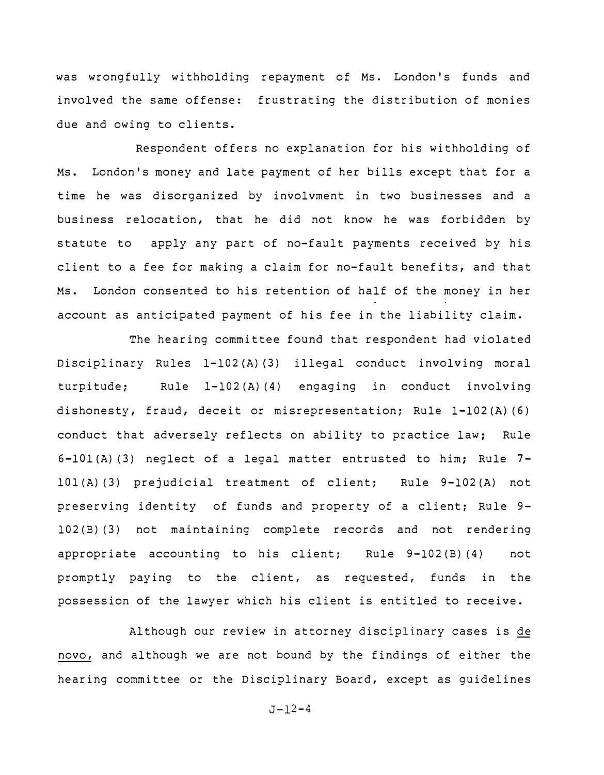was wrongfully withholding repayment of Ms. London's funds and involved the same offense: frustrating the distribution of monies due and owing to clients.

Respondent offers no explanation for his withholding of Ms. London's money and late payment of her bills except that for a time he was disorganized by involvment in two businesses and a business relocation, that he did not know he was forbidden by statute to apply any part of no-fault payments received by his client to a fee for making a claim for no-fault benefits, and that Ms. London consented to his retention of half of the money in her account as anticipated payment of his fee in the liability claim.

The hearing committee found that respondent had violated Disciplinary Rules l-102{A) {3) illegal conduct involving moral turpitude; Rule l-102(A) (4) engaging in conduct involving dishonesty, fraud, deceit or misrepresentation; Rule 1-102 (A} (6) conduct that adversely reflects on ability to practice law; Rule 6-lOl{A) (3) neglect of a legal matter entrusted to him; Rule 7 lOl(A) (3) prejudicial treatment of client; Rule 9-102(A) not preserving identity of funds and property of a client; Rule 9- 102 (B) (3) not maintaining complete records and not rendering appropriate accounting to his client; Rule 9-102 (B) { 4) not promptly paying to the client, as requested, funds in the possession of the lawyer which his client is entitled to receive.

Although our review in attorney disciplinary cases is de novo, and although we are not bound by the findings of either the hearing committee or the Disciplinary Board, except as guidelines

 $J - 12 - 4$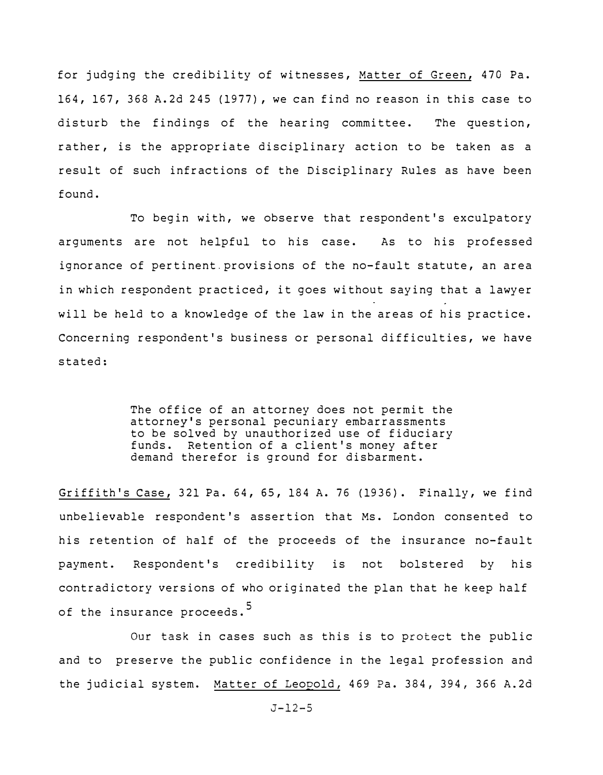for judging the credibility of witnesses, Matter of Green, 470 Pa. 164, 167, 368 A.2d 245 (1977), we can find no reason in this case to disturb the findings of the hearing committee. The question, rather, is the appropriate disciplinary action to be taken as a result of such infractions of the Disciplinary Rules as have been found.

To begin with, we observe that respondent's exculpatory arguments are not helpful to his case. As to his professed ignorance of pertinent. provisions of the no-fault statute, an area in which respondent practiced, it goes without saying that a lawyer will be held to a knowledge of the law in the areas of his practice. Concerning respondent's business or personal difficulties, we have stated:

> The office of an attorney does not permit the attorney's personal pecuniary embarrassments to be solved by unauthorized use of fiduciary funds. Retention of a client's money after demand therefor is ground for disbarment.

Griffith's Case, 321 Pa. 64, 65, 184 A. 76 (1936). Finally, we find unbelievable respondent's assertion that Ms. London consented to his retention of half of the proceeds of the insurance no-fault payment. Respondent's credibility is not bolstered by his contradictory versions of who originated the plan that he keep half of the insurance proceeds.<sup>5</sup>

Our task in cases such as this is to protect the public and to preserve the public confidence in the legal profession and the judicial system. Matter of Leopold, 469 Pa. 384, 394, 366 A.2d

J-12-5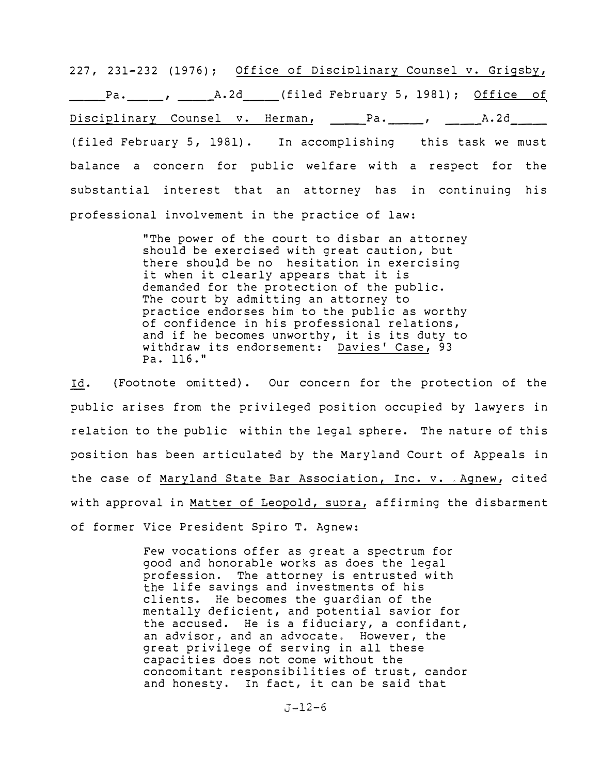227, 231-232 (1976); Office of Disciplinary Counsel v. Grigsby, Pa. , A.2d (filed February 5, 1981); Office of Disciplinary Counsel v. Herman, \_\_\_\_Pa. \_\_\_, \_\_\_\_\_A.2d\_\_\_\_ (filed February 5, 1981). In accomplishing this task we must balance a concern for public welfare with a respect for the substantial interest that an attorney has in continuing his professional involvement in the practice of law:

> "The power of the court to disbar an attorney should be exercised with great caution, but there should be no hesitation in exercising it when it clearly appears that it is demanded for the protection of the public. The court by admitting an attorney to practice endorses him to the public as worthy of confidence in his professional relations, and if he becomes unworthy, it is its duty to withdraw its endorsement: Davies' Case, 93 Pa. 116."

Id. {Footnote omitted}. Our concern for the protection of the public arises from the privileged position occupied by lawyers in relation to the public within the legal sphere. The nature of this position has been articulated by the Maryland Court of Appeals in the case of Maryland State Bar Association, Inc. v. Agnew, cited with approval in Matter of Leopold, supra, affirming the disbarment of former Vice President Spiro T. Agnew:

> Few vocations offer as great a spectrum for good and honorable works as does the legal profession. The attorney is entrusted with the life savings and investments of his clients. He becomes the guardian of the mentally deficient, and potential savior for the accused. He is a fiduciary, a confidant, an advisor, and an advocate. However, the great privilege of serving in all these capacities does not come without the concomitant responsibilities of trust, candor and honesty. In fact, it can be said that

> > $J - 12 - 6$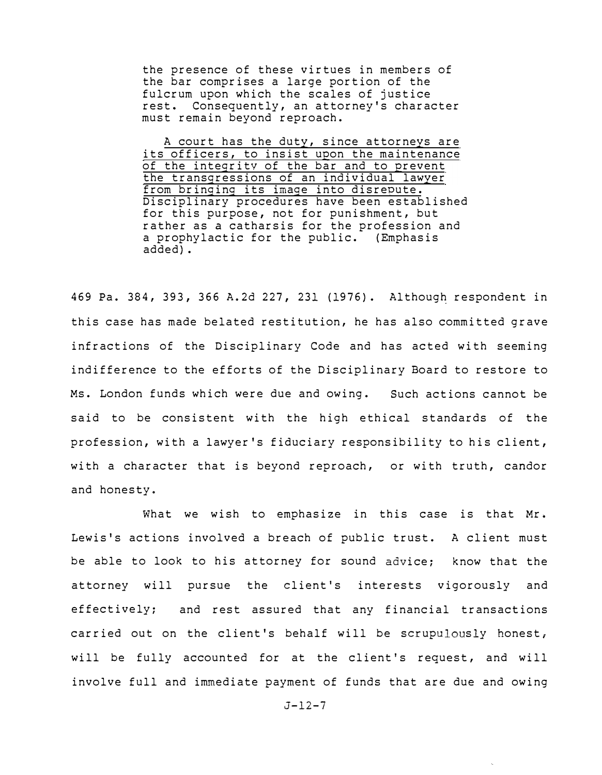the presence of these virtues in members of the bar comprises a large portion of the fulcrum upon which the scales of justice rest. Consequently, an attorney's character must remain beyond reproach.

A court has the duty, since attorneys are its officers, to insist upon the maintenance of the integrity of the bar and to prevent the transgressions of an individual lawyer from bringing its image into disrepute. Disciplinary procedures have been established for this purpose, not for punishment, but rather as *a* catharsis for the profession and a prophylactic for the public. (Emphasis added).

469 Pa. 384, 393, 366 A.2d 227, 231 (1976). Although respondent in this case has made belated restitution, he has also committed grave infractions of the Disciplinary Code and has acted with seeming indifference to the efforts of the Disciplinary Board to restore to Ms. London funds which were due and owing. Such actions cannot be said to be consistent with the high ethical standards of the profession, with a lawyer's fiduciary responsibility to his client, with a character that is beyond reproach, or with truth, candor and honesty.

What we wish to emphasize in this case is that Mr. Lewis's actions involved a breach of public trust. A client must be able to look to his attorney for sound advice; know that the attorney will pursue the client's interests vigorously and effectively; and rest assured that any financial transactions carried out on the client's behalf will be scrupulously honest, will be fully accounted for at the client's request, and will involve full and immediate payment of funds that are due and owing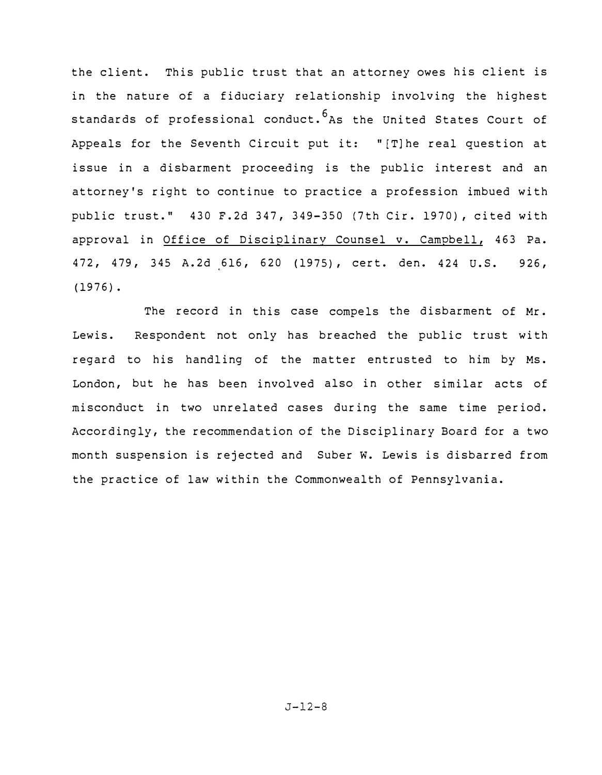the client. This public trust that an attorney owes his client is in the nature of a fiduciary relationship involving the highest standards of professional conduct.<sup>6</sup>As the United States Court of Appeals for the Seventh Circuit put it: "[T]he real question at issue in a disbarment proceeding is the public interest and an attorney's right to continue to practice a profession imbued with public trust." 430 F.2d 347, 349-350 (7th Cir. 1970), cited with approval in Office of Disciplinarv Counsel v. Campbell, 463 Pa. 472, 479, 345 A.2d 616, 620 (1975), cert. den. 424 U.S. 926, (1976).

The record in this case compels the disbarment of Mr. Lewis. Respondent not only has breached the public trust with regard to his handling of the matter entrusted to him by Ms. London, but he has been involved also in other similar acts of misconduct in two unrelated cases during the same time period. Accordingly, the recommendation of the Disciplinary Board for a two month suspension is rejected and Suber w. Lewis is disbarred from the practice of law within the Commonwealth of Pennsylvania.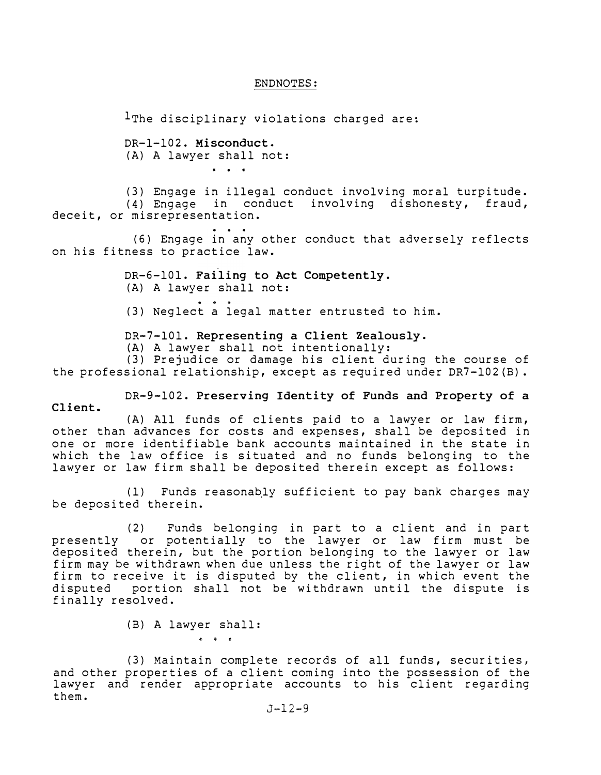# ENDNOTES:

 $1$ The disciplinary violations charged are:

DR-1-102. **Misconduct.**  (A) A lawyer shall not:

(3) Engage in illegal conduct involving moral turpitude. (4) Engage in conduct involving dishonesty, fraud, deceit, or misrepresentation.

(6) Engage in any other conduct that adversely reflects on his fitness to practice law.

> DR-6-101. **Failing to Act Competently.**  (A) A lawyer shall not: (3) Neglect a legal matter entrusted to him.

DR-7-101. **Representing a Client Zealously.** 

{A) A lawyer shall not intentionally:

(3) Prejudice or damage his client during the course of the professional relationship, except as required under DR7-102{B).

DR-9-102. **Preserving Identity of Funds and Property of a Client.** 

(A) All funds of clients paid to a lawyer or law firm, other than advances for costs and expenses, shall be deposited in one or more identifiable bank accounts maintained in the state in which the law office is situated and no funds belonging to the lawyer or law firm shall be deposited therein except as follows:

(1) Funds reasonably sufficient to pay bank charges may be deposited therein.

(2) Funds belonging in part to a client and in part presently or potentially to the lawyer or law firm must be deposited therein, but the portion belonging to the lawyer or law firm may be withdrawn when due unless the right of the lawyer or law firm to receive it is disputed by the client, in which event the<br>disputed portion shall not be withdrawn until the dispute is portion shall not be withdrawn until the dispute is finally resolved.

(B) A lawyer shall:

(3) Maintain complete records of all funds, securities, and other properties of a client coming into the possession of the lawyer and render appropriate accounts to his client regarding them.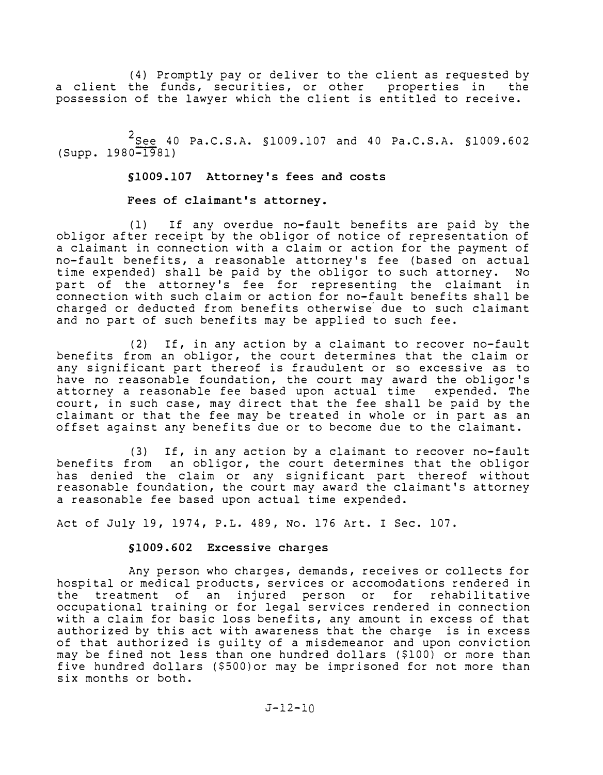(4) Promptly pay or deliver to the client as requested by<br>the funds, securities, or other properties in the a client the funds, securities, or other properties in possession of the lawyer which the client is entitled to receive.

2<br>See 40 Pa.C.S.A. \$1009.107 and 40 Pa.C.S.A. \$1009.602 (Supp. 1980-1981)

§1009.107 Attorney's fees and costs

Fees of claimant's attorney.

(1) If any overdue no-fault benefits are paid by the obligor after receipt by the obligor of notice of representation of a claimant in connection with a claim or action for the payment of no-fault benefits, a reasonable attorney's fee (based on actual<br>time expended) shall be paid by the obligor to such attorney. No time expended) shall be paid by the obligor to such attorney. part of the attorney's fee for representing the claimant in connection with such claim or action for no-fault benefits shall be charged or deducted from benefits otherwise due to such claimant and no part of such benefits may be applied to such fee.

(2) If, in any action by a claimant to recover no-fault benefits from an obligor, the court determines that the claim or any significant part thereof is fraudulent or so excessive as to have no reasonable foundation, the court may award the obligor's attorney a reasonable fee based upon actual time expended. The court, in such case, may direct that the fee shall be paid by the claimant or that the fee may be treated in whole or in part as an offset against any benefits due or to become due to the claimant.

(3) If, in any action by a claimant to recover no-fault benefits from an obligor, the court determines that the obligor has denied the claim or any significant part thereof without reasonable foundation, the court may award the claimant's attorney a reasonable fee based upon actual time expended.

Act of July 19, 1974, P.L. 489, No. 176 Art. I Sec. 107.

# §1009.602 Excessive charges

Any person who charges, demands, receives or collects for hospital or medical products, services or accomodations rendered in the treatment of an injured person or for rehabilitative occupational training or for legal services rendered in connection with a claim for basic loss benefits, any amount in excess of that authorized by this act with awareness that the charge is in excess of that authorized is guilty of a misdemeanor and upon conviction may be fined not less than one hundred dollars (\$100) or more than five hundred dollars (\$500)or may be imprisoned for not more than six months or both.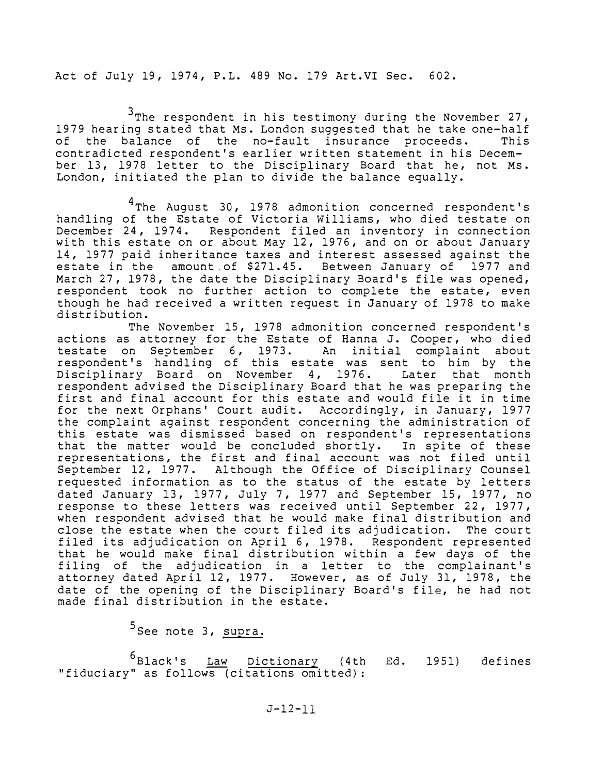Act of July 19, 1974, P.L. 489 No. 179 Art.VI Sec. 602.

<sup>3</sup>The respondent in his testimony during the November 27, 1979 hearing stated that Ms. London suggested that he take one-half<br>of the balance of the no-fault insurance proceeds. This of the balance of the no-fault insurance proceeds. contradicted respondent's earlier written statement in his December 13, 1978 letter to the Disciplinary Board that he, not Ms. London, initiated the plan to divide the balance equally.

<sup>4</sup>The August 30, 1978 admonition concerned respondent's handling of the Estate of Victoria Williams, who died testate on December 24, 1974. Respondent filed an inventory in connection with this estate on or about May 12, 1976, and on or about January 14, 1977 paid inheritance taxes and interest assessed against the estate in the amount of \$271.45. Between January of 1977 and March 27, 1978, the date the Disciplinary Board's file was opened, respondent took no further action to complete the estate, even though he had received a written request in January of 1978 to make distribution.

The November 15, 1978 admonition concerned respondent's actions as attorney for the Estate of Hanna J. Cooper, who died testate on September 6, 1973. An initial complaint about respondent's handling of this estate was sent to him by the Disciplinary Board on November 4, 1976. Later that month respondent advised the Disciplinary Board that he was preparing the first and final account for this estate and would file it in time for the next Orphans' Court audit. Accordingly, in January, 1977 the complaint against respondent concerning the administration of this estate was dismissed based on respondent's representations that the matter would be concluded shortly. In spite of these representations, the first and final account was not filed until September 12, 1977. Although the Office of Disciplinary Counsel requested information as to the status of the estate by letters dated January 13, 1977, July 7, 1977 and September 15, 1977, no response to these letters was received until September 22, 1977, when respondent advised that he would make final distribution and close the estate when the court filed its adjudication. The court filed its adjudication on April 6, 1978. Respondent represented that he would make final distribution within a few days of the filing of the adjudication in a letter to the complainant's attorney dated April 12, 1977. However, as of July 31, 1978, the date of the opening of the Disciplinary Board's file, he had not made final distribution in the estate.

<sup>5</sup>See note 3, <u>supra.</u>

 $^6$ Black's Law Dictionary (4th "fiduciary" as follows (citations omitted): Ed. 1951) defines